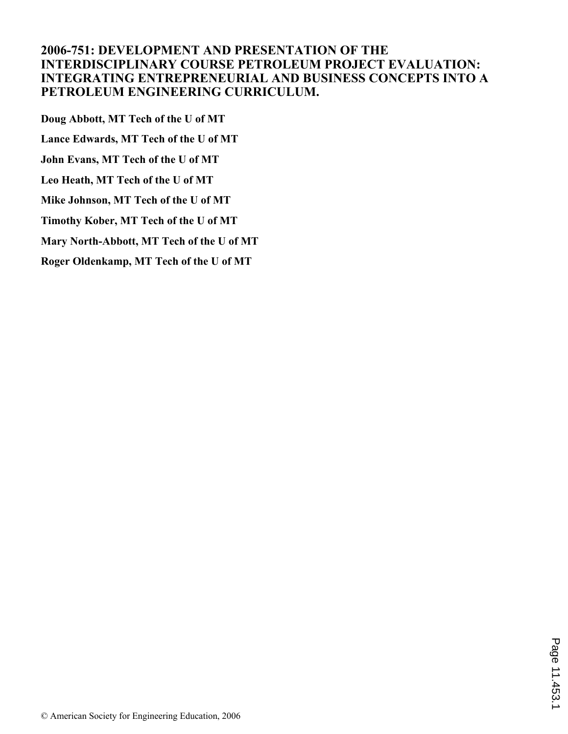# **2006-751: DEVELOPMENT AND PRESENTATION OF THE INTERDISCIPLINARY COURSE PETROLEUM PROJECT EVALUATION: INTEGRATING ENTREPRENEURIAL AND BUSINESS CONCEPTS INTO A PETROLEUM ENGINEERING CURRICULUM.**

**Doug Abbott, MT Tech of the U of MT Lance Edwards, MT Tech of the U of MT John Evans, MT Tech of the U of MT Leo Heath, MT Tech of the U of MT Mike Johnson, MT Tech of the U of MT Timothy Kober, MT Tech of the U of MT Mary North-Abbott, MT Tech of the U of MT Roger Oldenkamp, MT Tech of the U of MT**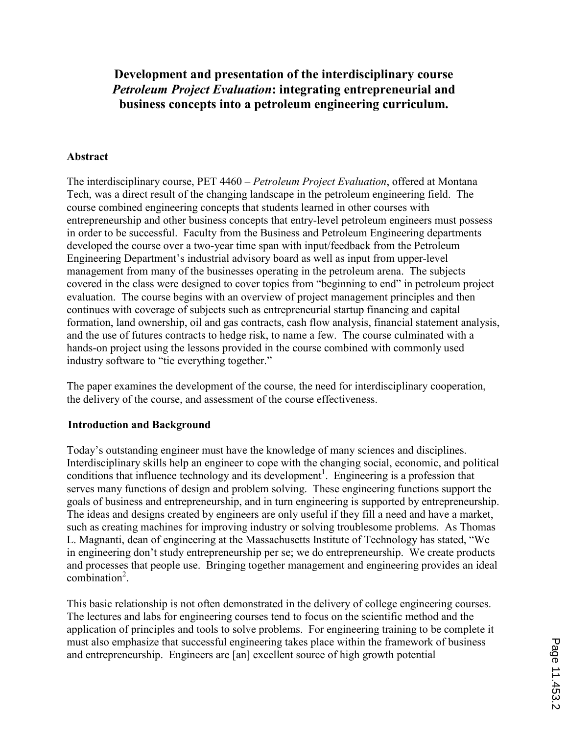Development and presentation of the interdisciplinary course Petroleum Project Evaluation: integrating entrepreneurial and business concepts into a petroleum engineering curriculum.

#### Abstract

The interdisciplinary course, PET 4460 – Petroleum Project Evaluation, offered at Montana Tech, was a direct result of the changing landscape in the petroleum engineering field. The course combined engineering concepts that students learned in other courses with entrepreneurship and other business concepts that entry-level petroleum engineers must possess in order to be successful. Faculty from the Business and Petroleum Engineering departments developed the course over a two-year time span with input/feedback from the Petroleum Engineering Department's industrial advisory board as well as input from upper-level management from many of the businesses operating in the petroleum arena. The subjects covered in the class were designed to cover topics from "beginning to end" in petroleum project evaluation. The course begins with an overview of project management principles and then continues with coverage of subjects such as entrepreneurial startup financing and capital formation, land ownership, oil and gas contracts, cash flow analysis, financial statement analysis, and the use of futures contracts to hedge risk, to name a few. The course culminated with a hands-on project using the lessons provided in the course combined with commonly used industry software to "tie everything together."

The paper examines the development of the course, the need for interdisciplinary cooperation, the delivery of the course, and assessment of the course effectiveness.

#### Introduction and Background

Today's outstanding engineer must have the knowledge of many sciences and disciplines. Interdisciplinary skills help an engineer to cope with the changing social, economic, and political conditions that influence technology and its development<sup>1</sup>. Engineering is a profession that serves many functions of design and problem solving. These engineering functions support the goals of business and entrepreneurship, and in turn engineering is supported by entrepreneurship. The ideas and designs created by engineers are only useful if they fill a need and have a market, such as creating machines for improving industry or solving troublesome problems. As Thomas L. Magnanti, dean of engineering at the Massachusetts Institute of Technology has stated, "We in engineering don't study entrepreneurship per se; we do entrepreneurship. We create products and processes that people use. Bringing together management and engineering provides an ideal  $combination<sup>2</sup>$ .

This basic relationship is not often demonstrated in the delivery of college engineering courses. The lectures and labs for engineering courses tend to focus on the scientific method and the application of principles and tools to solve problems. For engineering training to be complete it must also emphasize that successful engineering takes place within the framework of business and entrepreneurship. Engineers are [an] excellent source of high growth potential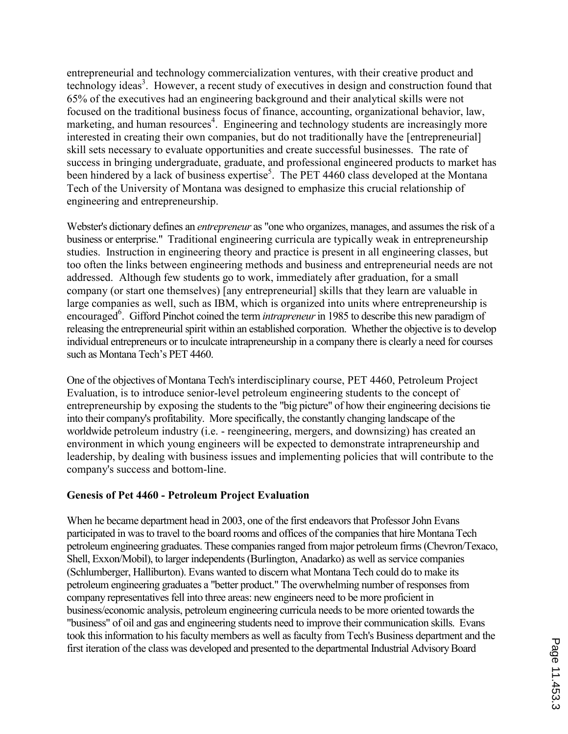entrepreneurial and technology commercialization ventures, with their creative product and technology ideas<sup>3</sup>. However, a recent study of executives in design and construction found that 65% of the executives had an engineering background and their analytical skills were not focused on the traditional business focus of finance, accounting, organizational behavior, law, marketing, and human resources<sup>4</sup>. Engineering and technology students are increasingly more interested in creating their own companies, but do not traditionally have the [entrepreneurial] skill sets necessary to evaluate opportunities and create successful businesses. The rate of success in bringing undergraduate, graduate, and professional engineered products to market has been hindered by a lack of business expertise<sup>5</sup>. The PET 4460 class developed at the Montana Tech of the University of Montana was designed to emphasize this crucial relationship of engineering and entrepreneurship.

Webster's dictionary defines an entrepreneur as "one who organizes, manages, and assumes the risk of a business or enterprise." Traditional engineering curricula are typically weak in entrepreneurship studies. Instruction in engineering theory and practice is present in all engineering classes, but too often the links between engineering methods and business and entrepreneurial needs are not addressed. Although few students go to work, immediately after graduation, for a small company (or start one themselves) [any entrepreneurial] skills that they learn are valuable in large companies as well, such as IBM, which is organized into units where entrepreneurship is encouraged<sup>6</sup>. Gifford Pinchot coined the term *intrapreneur* in 1985 to describe this new paradigm of releasing the entrepreneurial spirit within an established corporation. Whether the objective is to develop individual entrepreneurs or to inculcate intrapreneurship in a company there is clearly a need for courses such as Montana Tech's PET 4460.

One of the objectives of Montana Tech's interdisciplinary course, PET 4460, Petroleum Project Evaluation, is to introduce senior-level petroleum engineering students to the concept of entrepreneurship by exposing the students to the "big picture" of how their engineering decisions tie into their company's profitability. More specifically, the constantly changing landscape of the worldwide petroleum industry (i.e. - reengineering, mergers, and downsizing) has created an environment in which young engineers will be expected to demonstrate intrapreneurship and leadership, by dealing with business issues and implementing policies that will contribute to the company's success and bottom-line.

## Genesis of Pet 4460 - Petroleum Project Evaluation

When he became department head in 2003, one of the first endeavors that Professor John Evans participated in was to travel to the board rooms and offices of the companies that hire Montana Tech petroleum engineering graduates. These companies ranged from major petroleum firms (Chevron/Texaco, Shell, Exxon/Mobil), to larger independents (Burlington, Anadarko) as well as service companies (Schlumberger, Halliburton). Evans wanted to discern what Montana Tech could do to make its petroleum engineering graduates a "better product." The overwhelming number of responses from company representatives fell into three areas: new engineers need to be more proficient in business/economic analysis, petroleum engineering curricula needs to be more oriented towards the "business" of oil and gas and engineering students need to improve their communication skills. Evans took this information to his faculty members as well as faculty from Tech's Business department and the first iteration of the class was developed and presented to the departmental Industrial Advisory Board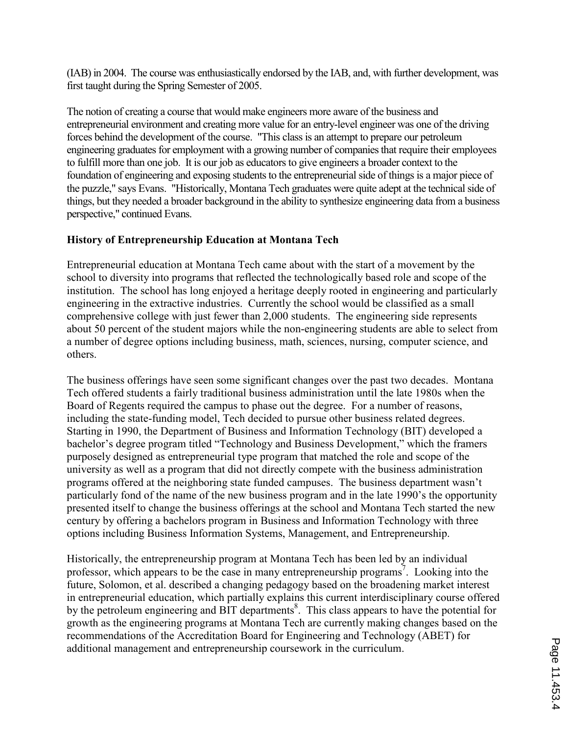(IAB) in 2004. The course was enthusiastically endorsed by the IAB, and, with further development, was first taught during the Spring Semester of 2005.

The notion of creating a course that would make engineers more aware of the business and entrepreneurial environment and creating more value for an entry-level engineer was one of the driving forces behind the development of the course. "This class is an attempt to prepare our petroleum engineering graduates for employment with a growing number of companies that require their employees to fulfill more than one job. It is our job as educators to give engineers a broader context to the foundation of engineering and exposing students to the entrepreneurial side of things is a major piece of the puzzle," says Evans. "Historically, Montana Tech graduates were quite adept at the technical side of things, but they needed a broader background in the ability to synthesize engineering data from a business perspective," continued Evans.

# History of Entrepreneurship Education at Montana Tech

Entrepreneurial education at Montana Tech came about with the start of a movement by the school to diversity into programs that reflected the technologically based role and scope of the institution. The school has long enjoyed a heritage deeply rooted in engineering and particularly engineering in the extractive industries. Currently the school would be classified as a small comprehensive college with just fewer than 2,000 students. The engineering side represents about 50 percent of the student majors while the non-engineering students are able to select from a number of degree options including business, math, sciences, nursing, computer science, and others.

The business offerings have seen some significant changes over the past two decades. Montana Tech offered students a fairly traditional business administration until the late 1980s when the Board of Regents required the campus to phase out the degree. For a number of reasons, including the state-funding model, Tech decided to pursue other business related degrees. Starting in 1990, the Department of Business and Information Technology (BIT) developed a bachelor's degree program titled "Technology and Business Development," which the framers purposely designed as entrepreneurial type program that matched the role and scope of the university as well as a program that did not directly compete with the business administration programs offered at the neighboring state funded campuses. The business department wasn't particularly fond of the name of the new business program and in the late 1990's the opportunity presented itself to change the business offerings at the school and Montana Tech started the new century by offering a bachelors program in Business and Information Technology with three options including Business Information Systems, Management, and Entrepreneurship.

Historically, the entrepreneurship program at Montana Tech has been led by an individual professor, which appears to be the case in many entrepreneurship programs<sup>7</sup>. Looking into the future, Solomon, et al. described a changing pedagogy based on the broadening market interest in entrepreneurial education, which partially explains this current interdisciplinary course offered by the petroleum engineering and BIT departments<sup>8</sup>. This class appears to have the potential for growth as the engineering programs at Montana Tech are currently making changes based on the recommendations of the Accreditation Board for Engineering and Technology (ABET) for additional management and entrepreneurship coursework in the curriculum.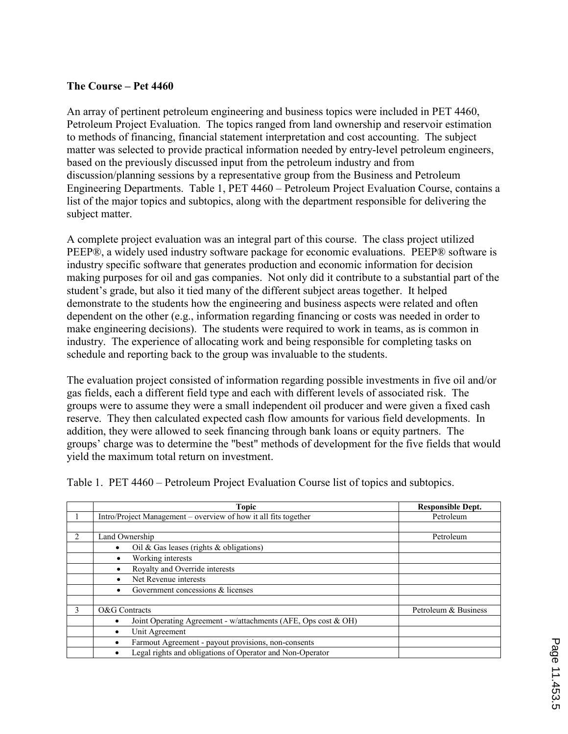### The Course – Pet 4460

An array of pertinent petroleum engineering and business topics were included in PET 4460, Petroleum Project Evaluation. The topics ranged from land ownership and reservoir estimation to methods of financing, financial statement interpretation and cost accounting. The subject matter was selected to provide practical information needed by entry-level petroleum engineers, based on the previously discussed input from the petroleum industry and from discussion/planning sessions by a representative group from the Business and Petroleum Engineering Departments. Table 1, PET 4460 – Petroleum Project Evaluation Course, contains a list of the major topics and subtopics, along with the department responsible for delivering the subject matter.

A complete project evaluation was an integral part of this course. The class project utilized PEEP®, a widely used industry software package for economic evaluations. PEEP® software is industry specific software that generates production and economic information for decision making purposes for oil and gas companies. Not only did it contribute to a substantial part of the student's grade, but also it tied many of the different subject areas together. It helped demonstrate to the students how the engineering and business aspects were related and often dependent on the other (e.g., information regarding financing or costs was needed in order to make engineering decisions). The students were required to work in teams, as is common in industry. The experience of allocating work and being responsible for completing tasks on schedule and reporting back to the group was invaluable to the students.

The evaluation project consisted of information regarding possible investments in five oil and/or gas fields, each a different field type and each with different levels of associated risk. The groups were to assume they were a small independent oil producer and were given a fixed cash reserve. They then calculated expected cash flow amounts for various field developments. In addition, they were allowed to seek financing through bank loans or equity partners. The groups' charge was to determine the "best" methods of development for the five fields that would yield the maximum total return on investment.

|   | Topic                                                           | <b>Responsible Dept.</b> |
|---|-----------------------------------------------------------------|--------------------------|
|   | Intro/Project Management – overview of how it all fits together | Petroleum                |
|   |                                                                 |                          |
|   | Land Ownership                                                  | Petroleum                |
|   | Oil & Gas leases (rights $\&$ obligations)                      |                          |
|   | Working interests<br>٠                                          |                          |
|   | Royalty and Override interests                                  |                          |
|   | Net Revenue interests                                           |                          |
|   | Government concessions & licenses                               |                          |
|   |                                                                 |                          |
| 3 | O&G Contracts                                                   | Petroleum & Business     |
|   | Joint Operating Agreement - w/attachments (AFE, Ops cost & OH)  |                          |
|   | Unit Agreement                                                  |                          |
|   | Farmout Agreement - payout provisions, non-consents             |                          |
|   | Legal rights and obligations of Operator and Non-Operator       |                          |

Table 1. PET 4460 – Petroleum Project Evaluation Course list of topics and subtopics.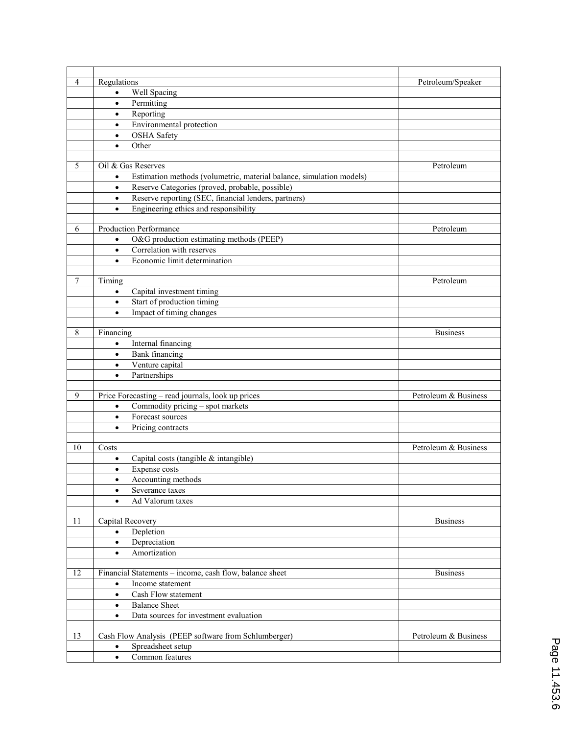| $\overline{4}$ | Regulations                                                                       | Petroleum/Speaker    |
|----------------|-----------------------------------------------------------------------------------|----------------------|
|                | Well Spacing<br>$\bullet$                                                         |                      |
|                | Permitting<br>$\bullet$                                                           |                      |
|                | Reporting<br>$\bullet$                                                            |                      |
|                | Environmental protection<br>$\bullet$                                             |                      |
|                | <b>OSHA</b> Safety<br>$\bullet$                                                   |                      |
|                | Other<br>$\bullet$                                                                |                      |
|                |                                                                                   |                      |
| 5              | Oil & Gas Reserves                                                                | Petroleum            |
|                | Estimation methods (volumetric, material balance, simulation models)<br>$\bullet$ |                      |
|                | Reserve Categories (proved, probable, possible)<br>$\bullet$                      |                      |
|                | Reserve reporting (SEC, financial lenders, partners)<br>$\bullet$                 |                      |
|                | Engineering ethics and responsibility<br>$\bullet$                                |                      |
|                |                                                                                   |                      |
| 6              | <b>Production Performance</b>                                                     | Petroleum            |
|                | O&G production estimating methods (PEEP)<br>$\bullet$                             |                      |
|                | Correlation with reserves<br>$\bullet$                                            |                      |
|                | Economic limit determination<br>$\bullet$                                         |                      |
|                |                                                                                   |                      |
| 7              | Timing                                                                            | Petroleum            |
|                | Capital investment timing<br>$\bullet$                                            |                      |
|                | Start of production timing<br>$\bullet$                                           |                      |
|                | Impact of timing changes<br>$\bullet$                                             |                      |
|                |                                                                                   |                      |
| 8              | Financing                                                                         | <b>Business</b>      |
|                | Internal financing<br>$\bullet$                                                   |                      |
|                | <b>Bank</b> financing<br>$\bullet$                                                |                      |
|                | Venture capital<br>$\bullet$                                                      |                      |
|                | Partnerships<br>$\bullet$                                                         |                      |
| 9              | Price Forecasting - read journals, look up prices                                 | Petroleum & Business |
|                | Commodity pricing - spot markets<br>$\bullet$                                     |                      |
|                | Forecast sources<br>$\bullet$                                                     |                      |
|                | Pricing contracts<br>$\bullet$                                                    |                      |
|                |                                                                                   |                      |
| 10             | Costs                                                                             | Petroleum & Business |
|                | Capital costs (tangible & intangible)<br>$\bullet$                                |                      |
|                | Expense costs<br>$\bullet$                                                        |                      |
|                | Accounting methods<br>$\bullet$                                                   |                      |
|                | Severance taxes<br>$\bullet$                                                      |                      |
|                | Ad Valorum taxes                                                                  |                      |
|                |                                                                                   |                      |
| 11             | Capital Recovery                                                                  | <b>Business</b>      |
|                | Depletion<br>$\bullet$                                                            |                      |
|                | Depreciation<br>$\bullet$                                                         |                      |
|                | Amortization<br>$\bullet$                                                         |                      |
|                |                                                                                   |                      |
| 12             | Financial Statements - income, cash flow, balance sheet                           | <b>Business</b>      |
|                | Income statement<br>$\bullet$                                                     |                      |
|                | $\bullet$<br>Cash Flow statement                                                  |                      |
|                | <b>Balance Sheet</b><br>$\bullet$                                                 |                      |
|                | Data sources for investment evaluation<br>$\bullet$                               |                      |
|                |                                                                                   |                      |
| 13             | Cash Flow Analysis (PEEP software from Schlumberger)                              | Petroleum & Business |
|                | Spreadsheet setup                                                                 |                      |
|                | Common features<br>$\bullet$                                                      |                      |
|                |                                                                                   |                      |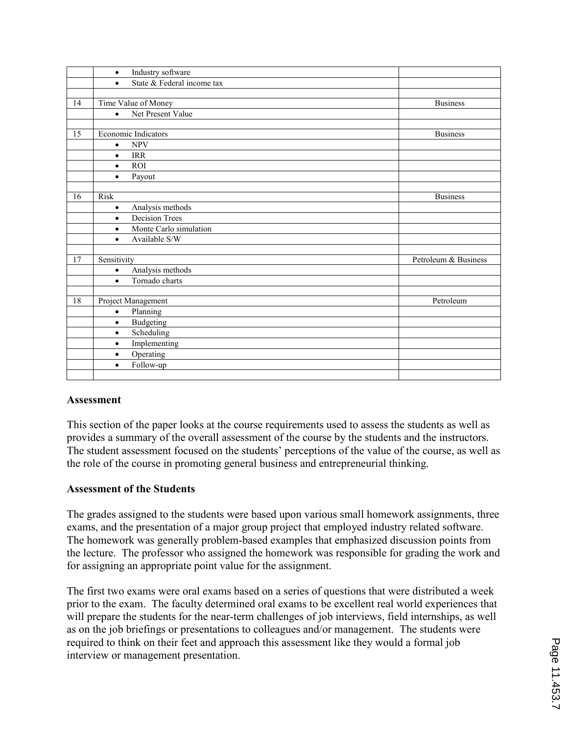|                 | Industry software<br>$\bullet$          |                      |
|-----------------|-----------------------------------------|----------------------|
|                 | State & Federal income tax<br>$\bullet$ |                      |
|                 |                                         |                      |
| 14              | Time Value of Money                     | <b>Business</b>      |
|                 | Net Present Value<br>$\bullet$          |                      |
|                 |                                         |                      |
| 15              | Economic Indicators                     | <b>Business</b>      |
|                 | <b>NPV</b><br>$\bullet$                 |                      |
|                 | <b>IRR</b><br>$\bullet$                 |                      |
|                 | <b>ROI</b><br>$\bullet$                 |                      |
|                 | Payout<br>$\bullet$                     |                      |
|                 |                                         |                      |
| 16              | <b>Risk</b>                             | <b>Business</b>      |
|                 | Analysis methods<br>$\bullet$           |                      |
|                 | <b>Decision Trees</b><br>$\bullet$      |                      |
|                 | Monte Carlo simulation<br>$\bullet$     |                      |
|                 | Available S/W<br>$\bullet$              |                      |
|                 |                                         |                      |
| 17              | Sensitivity                             | Petroleum & Business |
|                 | Analysis methods<br>$\bullet$           |                      |
|                 | Tornado charts<br>$\bullet$             |                      |
|                 |                                         |                      |
| $\overline{18}$ | Project Management                      | Petroleum            |
|                 | Planning<br>$\bullet$                   |                      |
|                 | Budgeting<br>$\bullet$                  |                      |
|                 | Scheduling<br>$\bullet$                 |                      |
|                 | Implementing<br>$\bullet$               |                      |
|                 | Operating<br>$\bullet$                  |                      |
|                 | Follow-up<br>$\bullet$                  |                      |
|                 |                                         |                      |
|                 |                                         |                      |

#### Assessment

This section of the paper looks at the course requirements used to assess the students as well as provides a summary of the overall assessment of the course by the students and the instructors. The student assessment focused on the students' perceptions of the value of the course, as well as the role of the course in promoting general business and entrepreneurial thinking.

#### Assessment of the Students

The grades assigned to the students were based upon various small homework assignments, three exams, and the presentation of a major group project that employed industry related software. The homework was generally problem-based examples that emphasized discussion points from the lecture. The professor who assigned the homework was responsible for grading the work and for assigning an appropriate point value for the assignment.

The first two exams were oral exams based on a series of questions that were distributed a week prior to the exam. The faculty determined oral exams to be excellent real world experiences that will prepare the students for the near-term challenges of job interviews, field internships, as well as on the job briefings or presentations to colleagues and/or management. The students were required to think on their feet and approach this assessment like they would a formal job interview or management presentation.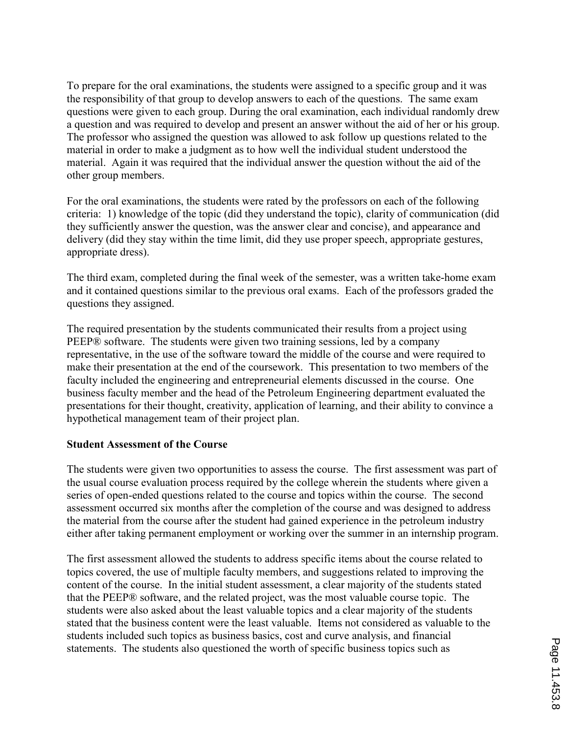To prepare for the oral examinations, the students were assigned to a specific group and it was the responsibility of that group to develop answers to each of the questions. The same exam questions were given to each group. During the oral examination, each individual randomly drew a question and was required to develop and present an answer without the aid of her or his group. The professor who assigned the question was allowed to ask follow up questions related to the material in order to make a judgment as to how well the individual student understood the material. Again it was required that the individual answer the question without the aid of the other group members.

For the oral examinations, the students were rated by the professors on each of the following criteria: 1) knowledge of the topic (did they understand the topic), clarity of communication (did they sufficiently answer the question, was the answer clear and concise), and appearance and delivery (did they stay within the time limit, did they use proper speech, appropriate gestures, appropriate dress).

The third exam, completed during the final week of the semester, was a written take-home exam and it contained questions similar to the previous oral exams. Each of the professors graded the questions they assigned.

The required presentation by the students communicated their results from a project using PEEP® software. The students were given two training sessions, led by a company representative, in the use of the software toward the middle of the course and were required to make their presentation at the end of the coursework. This presentation to two members of the faculty included the engineering and entrepreneurial elements discussed in the course. One business faculty member and the head of the Petroleum Engineering department evaluated the presentations for their thought, creativity, application of learning, and their ability to convince a hypothetical management team of their project plan.

### Student Assessment of the Course

The students were given two opportunities to assess the course. The first assessment was part of the usual course evaluation process required by the college wherein the students where given a series of open-ended questions related to the course and topics within the course. The second assessment occurred six months after the completion of the course and was designed to address the material from the course after the student had gained experience in the petroleum industry either after taking permanent employment or working over the summer in an internship program.

The first assessment allowed the students to address specific items about the course related to topics covered, the use of multiple faculty members, and suggestions related to improving the content of the course. In the initial student assessment, a clear majority of the students stated that the PEEP® software, and the related project, was the most valuable course topic. The students were also asked about the least valuable topics and a clear majority of the students stated that the business content were the least valuable. Items not considered as valuable to the students included such topics as business basics, cost and curve analysis, and financial statements. The students also questioned the worth of specific business topics such as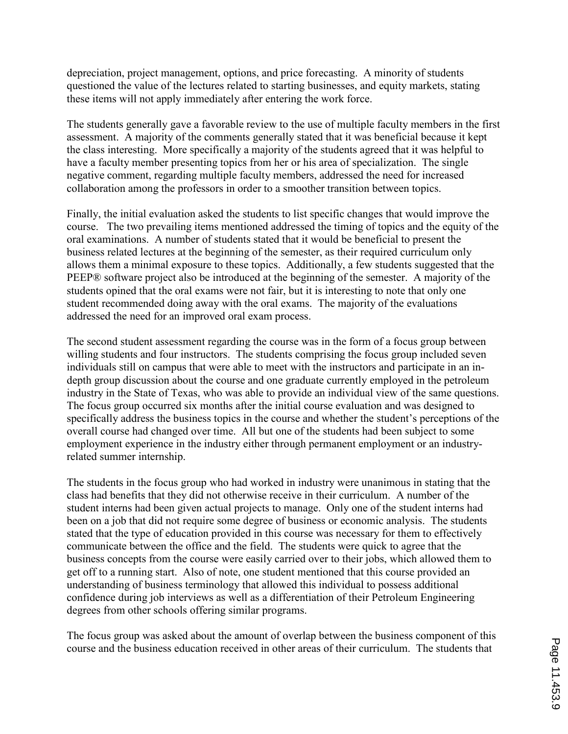depreciation, project management, options, and price forecasting. A minority of students questioned the value of the lectures related to starting businesses, and equity markets, stating these items will not apply immediately after entering the work force.

The students generally gave a favorable review to the use of multiple faculty members in the first assessment. A majority of the comments generally stated that it was beneficial because it kept the class interesting. More specifically a majority of the students agreed that it was helpful to have a faculty member presenting topics from her or his area of specialization. The single negative comment, regarding multiple faculty members, addressed the need for increased collaboration among the professors in order to a smoother transition between topics.

Finally, the initial evaluation asked the students to list specific changes that would improve the course. The two prevailing items mentioned addressed the timing of topics and the equity of the oral examinations. A number of students stated that it would be beneficial to present the business related lectures at the beginning of the semester, as their required curriculum only allows them a minimal exposure to these topics. Additionally, a few students suggested that the PEEP® software project also be introduced at the beginning of the semester. A majority of the students opined that the oral exams were not fair, but it is interesting to note that only one student recommended doing away with the oral exams. The majority of the evaluations addressed the need for an improved oral exam process.

The second student assessment regarding the course was in the form of a focus group between willing students and four instructors. The students comprising the focus group included seven individuals still on campus that were able to meet with the instructors and participate in an indepth group discussion about the course and one graduate currently employed in the petroleum industry in the State of Texas, who was able to provide an individual view of the same questions. The focus group occurred six months after the initial course evaluation and was designed to specifically address the business topics in the course and whether the student's perceptions of the overall course had changed over time. All but one of the students had been subject to some employment experience in the industry either through permanent employment or an industryrelated summer internship.

The students in the focus group who had worked in industry were unanimous in stating that the class had benefits that they did not otherwise receive in their curriculum. A number of the student interns had been given actual projects to manage. Only one of the student interns had been on a job that did not require some degree of business or economic analysis. The students stated that the type of education provided in this course was necessary for them to effectively communicate between the office and the field. The students were quick to agree that the business concepts from the course were easily carried over to their jobs, which allowed them to get off to a running start. Also of note, one student mentioned that this course provided an understanding of business terminology that allowed this individual to possess additional confidence during job interviews as well as a differentiation of their Petroleum Engineering degrees from other schools offering similar programs.

The focus group was asked about the amount of overlap between the business component of this course and the business education received in other areas of their curriculum. The students that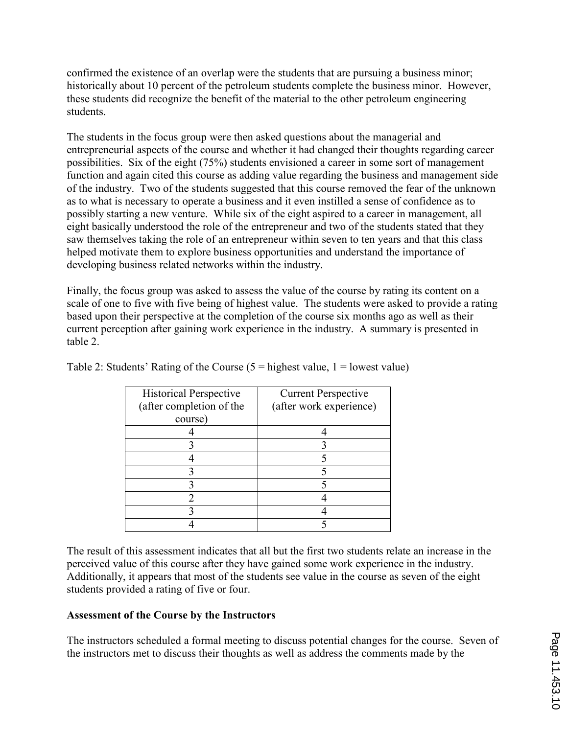confirmed the existence of an overlap were the students that are pursuing a business minor; historically about 10 percent of the petroleum students complete the business minor. However, these students did recognize the benefit of the material to the other petroleum engineering students.

The students in the focus group were then asked questions about the managerial and entrepreneurial aspects of the course and whether it had changed their thoughts regarding career possibilities. Six of the eight (75%) students envisioned a career in some sort of management function and again cited this course as adding value regarding the business and management side of the industry. Two of the students suggested that this course removed the fear of the unknown as to what is necessary to operate a business and it even instilled a sense of confidence as to possibly starting a new venture. While six of the eight aspired to a career in management, all eight basically understood the role of the entrepreneur and two of the students stated that they saw themselves taking the role of an entrepreneur within seven to ten years and that this class helped motivate them to explore business opportunities and understand the importance of developing business related networks within the industry.

Finally, the focus group was asked to assess the value of the course by rating its content on a scale of one to five with five being of highest value. The students were asked to provide a rating based upon their perspective at the completion of the course six months ago as well as their current perception after gaining work experience in the industry. A summary is presented in table 2.

| <b>Historical Perspective</b> | <b>Current Perspective</b> |
|-------------------------------|----------------------------|
| (after completion of the      | (after work experience)    |
| course)                       |                            |
|                               |                            |
|                               |                            |
|                               |                            |
|                               |                            |
|                               |                            |
|                               |                            |
|                               |                            |
|                               |                            |

Table 2: Students' Rating of the Course  $(5 =$  highest value,  $1 =$  lowest value)

The result of this assessment indicates that all but the first two students relate an increase in the perceived value of this course after they have gained some work experience in the industry. Additionally, it appears that most of the students see value in the course as seven of the eight students provided a rating of five or four.

## Assessment of the Course by the Instructors

The instructors scheduled a formal meeting to discuss potential changes for the course. Seven of the instructors met to discuss their thoughts as well as address the comments made by the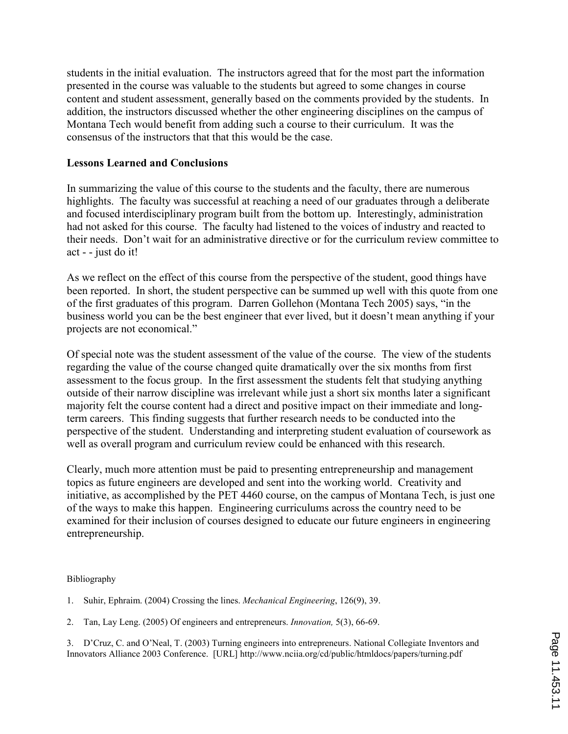students in the initial evaluation. The instructors agreed that for the most part the information presented in the course was valuable to the students but agreed to some changes in course content and student assessment, generally based on the comments provided by the students. In addition, the instructors discussed whether the other engineering disciplines on the campus of Montana Tech would benefit from adding such a course to their curriculum. It was the consensus of the instructors that that this would be the case.

### Lessons Learned and Conclusions

In summarizing the value of this course to the students and the faculty, there are numerous highlights. The faculty was successful at reaching a need of our graduates through a deliberate and focused interdisciplinary program built from the bottom up. Interestingly, administration had not asked for this course. The faculty had listened to the voices of industry and reacted to their needs. Don't wait for an administrative directive or for the curriculum review committee to act - - just do it!

As we reflect on the effect of this course from the perspective of the student, good things have been reported. In short, the student perspective can be summed up well with this quote from one of the first graduates of this program. Darren Gollehon (Montana Tech 2005) says, "in the business world you can be the best engineer that ever lived, but it doesn't mean anything if your projects are not economical."

Of special note was the student assessment of the value of the course. The view of the students regarding the value of the course changed quite dramatically over the six months from first assessment to the focus group. In the first assessment the students felt that studying anything outside of their narrow discipline was irrelevant while just a short six months later a significant majority felt the course content had a direct and positive impact on their immediate and longterm careers. This finding suggests that further research needs to be conducted into the perspective of the student. Understanding and interpreting student evaluation of coursework as well as overall program and curriculum review could be enhanced with this research.

Clearly, much more attention must be paid to presenting entrepreneurship and management topics as future engineers are developed and sent into the working world. Creativity and initiative, as accomplished by the PET 4460 course, on the campus of Montana Tech, is just one of the ways to make this happen. Engineering curriculums across the country need to be examined for their inclusion of courses designed to educate our future engineers in engineering entrepreneurship.

#### Bibliography

1. Suhir, Ephraim. (2004) Crossing the lines. Mechanical Engineering, 126(9), 39.

2. Tan, Lay Leng. (2005) Of engineers and entrepreneurs. Innovation, 5(3), 66-69.

3. D'Cruz, C. and O'Neal, T. (2003) Turning engineers into entrepreneurs. National Collegiate Inventors and Innovators Alliance 2003 Conference. [URL] http://www.nciia.org/cd/public/htmldocs/papers/turning.pdf